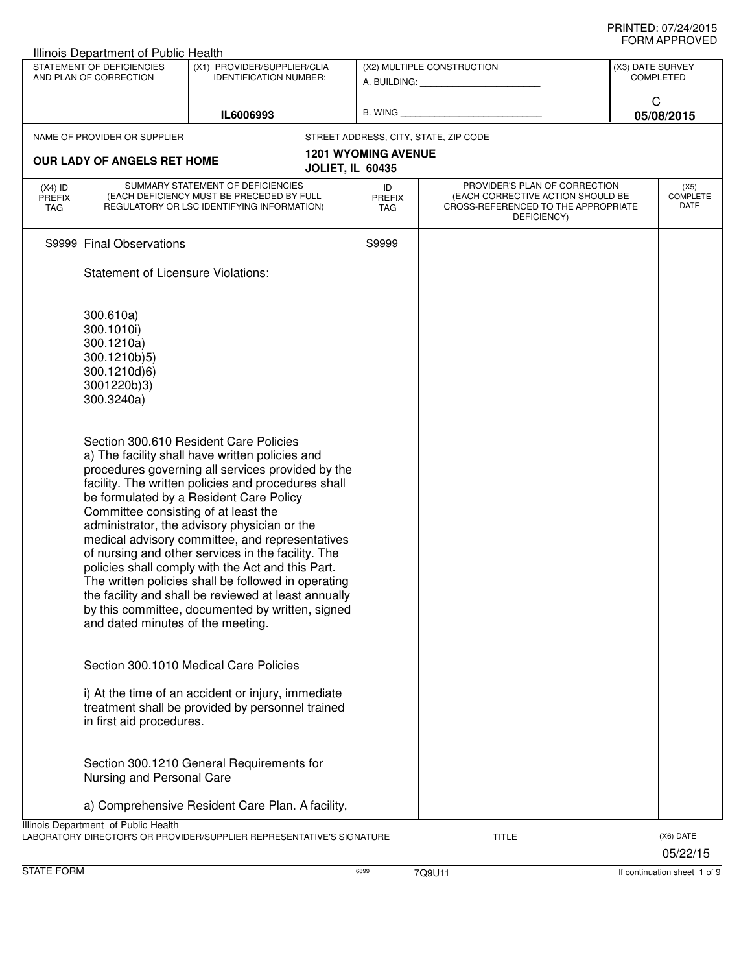|                                   | Illinois Department of Public Health                                                               |                                                                                                                                                                                                                                                                                                                                                                                                                                                                                                                                                                                                                                   |                                   |                                                                                                                          |                  |                                 |
|-----------------------------------|----------------------------------------------------------------------------------------------------|-----------------------------------------------------------------------------------------------------------------------------------------------------------------------------------------------------------------------------------------------------------------------------------------------------------------------------------------------------------------------------------------------------------------------------------------------------------------------------------------------------------------------------------------------------------------------------------------------------------------------------------|-----------------------------------|--------------------------------------------------------------------------------------------------------------------------|------------------|---------------------------------|
|                                   | STATEMENT OF DEFICIENCIES<br>AND PLAN OF CORRECTION                                                | (X1) PROVIDER/SUPPLIER/CLIA<br><b>IDENTIFICATION NUMBER:</b>                                                                                                                                                                                                                                                                                                                                                                                                                                                                                                                                                                      |                                   | (X2) MULTIPLE CONSTRUCTION                                                                                               | (X3) DATE SURVEY | <b>COMPLETED</b>                |
|                                   |                                                                                                    | IL6006993                                                                                                                                                                                                                                                                                                                                                                                                                                                                                                                                                                                                                         | $B.$ WING $\_$                    |                                                                                                                          | C                | 05/08/2015                      |
|                                   | NAME OF PROVIDER OR SUPPLIER                                                                       |                                                                                                                                                                                                                                                                                                                                                                                                                                                                                                                                                                                                                                   |                                   | STREET ADDRESS, CITY, STATE, ZIP CODE                                                                                    |                  |                                 |
|                                   | <b>OUR LADY OF ANGELS RET HOME</b>                                                                 | <b>JOLIET, IL 60435</b>                                                                                                                                                                                                                                                                                                                                                                                                                                                                                                                                                                                                           | <b>1201 WYOMING AVENUE</b>        |                                                                                                                          |                  |                                 |
| $(X4)$ ID<br><b>PREFIX</b><br>TAG |                                                                                                    | SUMMARY STATEMENT OF DEFICIENCIES<br>(EACH DEFICIENCY MUST BE PRECEDED BY FULL<br>REGULATORY OR LSC IDENTIFYING INFORMATION)                                                                                                                                                                                                                                                                                                                                                                                                                                                                                                      | ID<br><b>PREFIX</b><br><b>TAG</b> | PROVIDER'S PLAN OF CORRECTION<br>(EACH CORRECTIVE ACTION SHOULD BE<br>CROSS-REFERENCED TO THE APPROPRIATE<br>DEFICIENCY) |                  | (X5)<br><b>COMPLETE</b><br>DATE |
|                                   | S9999 Final Observations                                                                           |                                                                                                                                                                                                                                                                                                                                                                                                                                                                                                                                                                                                                                   | S9999                             |                                                                                                                          |                  |                                 |
|                                   | <b>Statement of Licensure Violations:</b>                                                          |                                                                                                                                                                                                                                                                                                                                                                                                                                                                                                                                                                                                                                   |                                   |                                                                                                                          |                  |                                 |
|                                   | 300.610a)<br>300.1010i)<br>300.1210a)<br>300.1210b)5)<br>300.1210d)6)<br>3001220b)3)<br>300.3240a) |                                                                                                                                                                                                                                                                                                                                                                                                                                                                                                                                                                                                                                   |                                   |                                                                                                                          |                  |                                 |
|                                   | Committee consisting of at least the<br>and dated minutes of the meeting.                          | Section 300.610 Resident Care Policies<br>a) The facility shall have written policies and<br>procedures governing all services provided by the<br>facility. The written policies and procedures shall<br>be formulated by a Resident Care Policy<br>administrator, the advisory physician or the<br>medical advisory committee, and representatives<br>of nursing and other services in the facility. The<br>policies shall comply with the Act and this Part.<br>The written policies shall be followed in operating<br>the facility and shall be reviewed at least annually<br>by this committee, documented by written, signed |                                   |                                                                                                                          |                  |                                 |
|                                   | in first aid procedures.                                                                           | Section 300.1010 Medical Care Policies<br>i) At the time of an accident or injury, immediate<br>treatment shall be provided by personnel trained                                                                                                                                                                                                                                                                                                                                                                                                                                                                                  |                                   |                                                                                                                          |                  |                                 |
|                                   | Nursing and Personal Care                                                                          | Section 300.1210 General Requirements for                                                                                                                                                                                                                                                                                                                                                                                                                                                                                                                                                                                         |                                   |                                                                                                                          |                  |                                 |
|                                   |                                                                                                    | a) Comprehensive Resident Care Plan. A facility,                                                                                                                                                                                                                                                                                                                                                                                                                                                                                                                                                                                  |                                   |                                                                                                                          |                  |                                 |
|                                   | Illinois Department of Public Health                                                               | LABORATORY DIRECTOR'S OR PROVIDER/SUPPLIER REPRESENTATIVE'S SIGNATURE                                                                                                                                                                                                                                                                                                                                                                                                                                                                                                                                                             |                                   | <b>TITLE</b>                                                                                                             |                  | (X6) DATE<br>05/22/15           |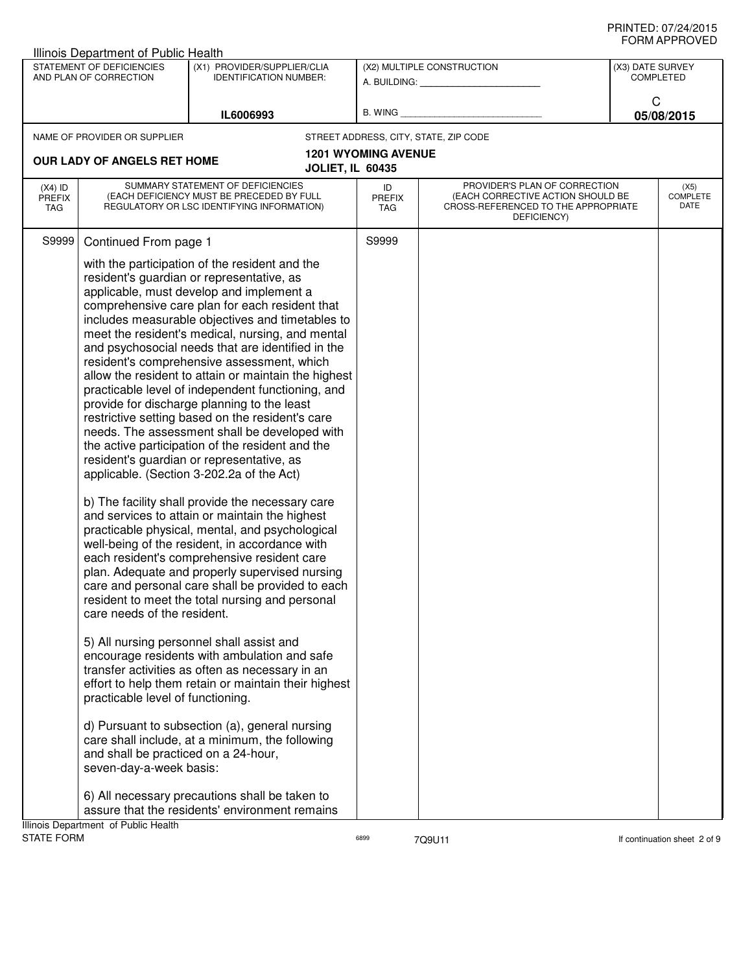|                                   | <b>Illinois Department of Public Health</b>                      |                                                                                                                                                                                                                                                                                                                                                                                                                                                                                                                                                                                                                                                                                                                                                                                                                                                                                                                                                                                                                                                                                                                                                                                                                                                                                                                                                                                                                                                                                                                                                     |                            |                                                                                                                          |                  |                                 |
|-----------------------------------|------------------------------------------------------------------|-----------------------------------------------------------------------------------------------------------------------------------------------------------------------------------------------------------------------------------------------------------------------------------------------------------------------------------------------------------------------------------------------------------------------------------------------------------------------------------------------------------------------------------------------------------------------------------------------------------------------------------------------------------------------------------------------------------------------------------------------------------------------------------------------------------------------------------------------------------------------------------------------------------------------------------------------------------------------------------------------------------------------------------------------------------------------------------------------------------------------------------------------------------------------------------------------------------------------------------------------------------------------------------------------------------------------------------------------------------------------------------------------------------------------------------------------------------------------------------------------------------------------------------------------------|----------------------------|--------------------------------------------------------------------------------------------------------------------------|------------------|---------------------------------|
|                                   | STATEMENT OF DEFICIENCIES<br>AND PLAN OF CORRECTION              | (X1) PROVIDER/SUPPLIER/CLIA<br><b>IDENTIFICATION NUMBER:</b>                                                                                                                                                                                                                                                                                                                                                                                                                                                                                                                                                                                                                                                                                                                                                                                                                                                                                                                                                                                                                                                                                                                                                                                                                                                                                                                                                                                                                                                                                        |                            | (X2) MULTIPLE CONSTRUCTION<br>A. BUILDING: A. BUILDING:                                                                  | (X3) DATE SURVEY | <b>COMPLETED</b>                |
|                                   |                                                                  |                                                                                                                                                                                                                                                                                                                                                                                                                                                                                                                                                                                                                                                                                                                                                                                                                                                                                                                                                                                                                                                                                                                                                                                                                                                                                                                                                                                                                                                                                                                                                     |                            |                                                                                                                          | C                |                                 |
|                                   |                                                                  | IL6006993                                                                                                                                                                                                                                                                                                                                                                                                                                                                                                                                                                                                                                                                                                                                                                                                                                                                                                                                                                                                                                                                                                                                                                                                                                                                                                                                                                                                                                                                                                                                           | B. WING                    |                                                                                                                          |                  | 05/08/2015                      |
|                                   | NAME OF PROVIDER OR SUPPLIER                                     |                                                                                                                                                                                                                                                                                                                                                                                                                                                                                                                                                                                                                                                                                                                                                                                                                                                                                                                                                                                                                                                                                                                                                                                                                                                                                                                                                                                                                                                                                                                                                     |                            | STREET ADDRESS, CITY, STATE, ZIP CODE                                                                                    |                  |                                 |
|                                   | <b>OUR LADY OF ANGELS RET HOME</b>                               |                                                                                                                                                                                                                                                                                                                                                                                                                                                                                                                                                                                                                                                                                                                                                                                                                                                                                                                                                                                                                                                                                                                                                                                                                                                                                                                                                                                                                                                                                                                                                     | <b>1201 WYOMING AVENUE</b> |                                                                                                                          |                  |                                 |
|                                   |                                                                  |                                                                                                                                                                                                                                                                                                                                                                                                                                                                                                                                                                                                                                                                                                                                                                                                                                                                                                                                                                                                                                                                                                                                                                                                                                                                                                                                                                                                                                                                                                                                                     | <b>JOLIET, IL 60435</b>    |                                                                                                                          |                  |                                 |
| $(X4)$ ID<br><b>PREFIX</b><br>TAG |                                                                  | SUMMARY STATEMENT OF DEFICIENCIES<br>(EACH DEFICIENCY MUST BE PRECEDED BY FULL<br>REGULATORY OR LSC IDENTIFYING INFORMATION)                                                                                                                                                                                                                                                                                                                                                                                                                                                                                                                                                                                                                                                                                                                                                                                                                                                                                                                                                                                                                                                                                                                                                                                                                                                                                                                                                                                                                        | ID<br><b>PREFIX</b><br>TAG | PROVIDER'S PLAN OF CORRECTION<br>(EACH CORRECTIVE ACTION SHOULD BE<br>CROSS-REFERENCED TO THE APPROPRIATE<br>DEFICIENCY) |                  | (X5)<br><b>COMPLETE</b><br>DATE |
| S9999                             | Continued From page 1                                            |                                                                                                                                                                                                                                                                                                                                                                                                                                                                                                                                                                                                                                                                                                                                                                                                                                                                                                                                                                                                                                                                                                                                                                                                                                                                                                                                                                                                                                                                                                                                                     | S9999                      |                                                                                                                          |                  |                                 |
|                                   | care needs of the resident.<br>practicable level of functioning. | with the participation of the resident and the<br>resident's guardian or representative, as<br>applicable, must develop and implement a<br>comprehensive care plan for each resident that<br>includes measurable objectives and timetables to<br>meet the resident's medical, nursing, and mental<br>and psychosocial needs that are identified in the<br>resident's comprehensive assessment, which<br>allow the resident to attain or maintain the highest<br>practicable level of independent functioning, and<br>provide for discharge planning to the least<br>restrictive setting based on the resident's care<br>needs. The assessment shall be developed with<br>the active participation of the resident and the<br>resident's guardian or representative, as<br>applicable. (Section 3-202.2a of the Act)<br>b) The facility shall provide the necessary care<br>and services to attain or maintain the highest<br>practicable physical, mental, and psychological<br>well-being of the resident, in accordance with<br>each resident's comprehensive resident care<br>plan. Adequate and properly supervised nursing<br>care and personal care shall be provided to each<br>resident to meet the total nursing and personal<br>5) All nursing personnel shall assist and<br>encourage residents with ambulation and safe<br>transfer activities as often as necessary in an<br>effort to help them retain or maintain their highest<br>d) Pursuant to subsection (a), general nursing<br>care shall include, at a minimum, the following |                            |                                                                                                                          |                  |                                 |
|                                   | and shall be practiced on a 24-hour,<br>seven-day-a-week basis:  | 6) All necessary precautions shall be taken to                                                                                                                                                                                                                                                                                                                                                                                                                                                                                                                                                                                                                                                                                                                                                                                                                                                                                                                                                                                                                                                                                                                                                                                                                                                                                                                                                                                                                                                                                                      |                            |                                                                                                                          |                  |                                 |
|                                   |                                                                  | assure that the residents' environment remains                                                                                                                                                                                                                                                                                                                                                                                                                                                                                                                                                                                                                                                                                                                                                                                                                                                                                                                                                                                                                                                                                                                                                                                                                                                                                                                                                                                                                                                                                                      |                            |                                                                                                                          |                  |                                 |
| <b>STATE FORM</b>                 | Illinois Department of Public Health                             |                                                                                                                                                                                                                                                                                                                                                                                                                                                                                                                                                                                                                                                                                                                                                                                                                                                                                                                                                                                                                                                                                                                                                                                                                                                                                                                                                                                                                                                                                                                                                     | 6899                       | 7Q9U11                                                                                                                   |                  | If continuation sheet 2 of 9    |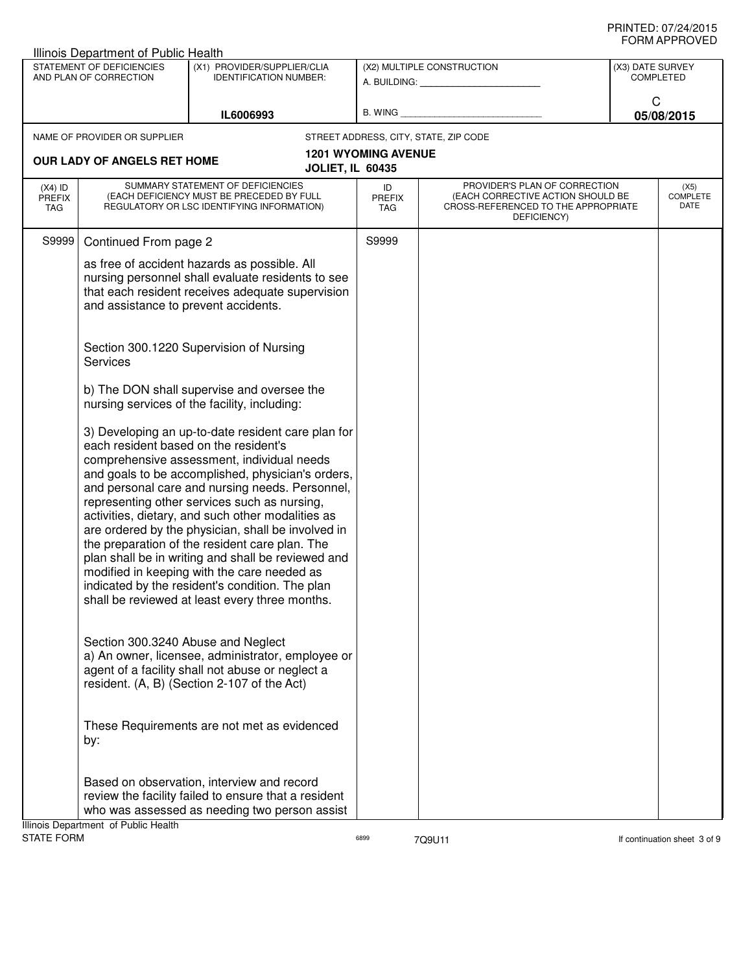|                            | Illinois Department of Public Health                |                                                                                                                                                                                                                                                                                                                                                                                                                                                                                                                                                                                                                                                                          |                                       |                                                                                                                          |                  |                                 |
|----------------------------|-----------------------------------------------------|--------------------------------------------------------------------------------------------------------------------------------------------------------------------------------------------------------------------------------------------------------------------------------------------------------------------------------------------------------------------------------------------------------------------------------------------------------------------------------------------------------------------------------------------------------------------------------------------------------------------------------------------------------------------------|---------------------------------------|--------------------------------------------------------------------------------------------------------------------------|------------------|---------------------------------|
|                            | STATEMENT OF DEFICIENCIES<br>AND PLAN OF CORRECTION | (X1) PROVIDER/SUPPLIER/CLIA<br><b>IDENTIFICATION NUMBER:</b>                                                                                                                                                                                                                                                                                                                                                                                                                                                                                                                                                                                                             |                                       | (X2) MULTIPLE CONSTRUCTION<br>A. BUILDING: A. BUILDING:                                                                  | (X3) DATE SURVEY | <b>COMPLETED</b>                |
|                            |                                                     | IL6006993                                                                                                                                                                                                                                                                                                                                                                                                                                                                                                                                                                                                                                                                | B. WING                               |                                                                                                                          | C                | 05/08/2015                      |
|                            | NAME OF PROVIDER OR SUPPLIER                        |                                                                                                                                                                                                                                                                                                                                                                                                                                                                                                                                                                                                                                                                          | STREET ADDRESS, CITY, STATE, ZIP CODE |                                                                                                                          |                  |                                 |
|                            | OUR LADY OF ANGELS RET HOME                         |                                                                                                                                                                                                                                                                                                                                                                                                                                                                                                                                                                                                                                                                          | <b>1201 WYOMING AVENUE</b>            |                                                                                                                          |                  |                                 |
|                            |                                                     |                                                                                                                                                                                                                                                                                                                                                                                                                                                                                                                                                                                                                                                                          | <b>JOLIET, IL 60435</b>               |                                                                                                                          |                  |                                 |
| $(X4)$ ID<br>PREFIX<br>TAG |                                                     | SUMMARY STATEMENT OF DEFICIENCIES<br>(EACH DEFICIENCY MUST BE PRECEDED BY FULL<br>REGULATORY OR LSC IDENTIFYING INFORMATION)                                                                                                                                                                                                                                                                                                                                                                                                                                                                                                                                             | ID<br>PREFIX<br>TAG                   | PROVIDER'S PLAN OF CORRECTION<br>(EACH CORRECTIVE ACTION SHOULD BE<br>CROSS-REFERENCED TO THE APPROPRIATE<br>DEFICIENCY) |                  | (X5)<br><b>COMPLETE</b><br>DATE |
| S9999                      | Continued From page 2                               |                                                                                                                                                                                                                                                                                                                                                                                                                                                                                                                                                                                                                                                                          | S9999                                 |                                                                                                                          |                  |                                 |
|                            | and assistance to prevent accidents.                | as free of accident hazards as possible. All<br>nursing personnel shall evaluate residents to see<br>that each resident receives adequate supervision                                                                                                                                                                                                                                                                                                                                                                                                                                                                                                                    |                                       |                                                                                                                          |                  |                                 |
|                            | <b>Services</b>                                     | Section 300.1220 Supervision of Nursing                                                                                                                                                                                                                                                                                                                                                                                                                                                                                                                                                                                                                                  |                                       |                                                                                                                          |                  |                                 |
|                            |                                                     | b) The DON shall supervise and oversee the<br>nursing services of the facility, including:                                                                                                                                                                                                                                                                                                                                                                                                                                                                                                                                                                               |                                       |                                                                                                                          |                  |                                 |
|                            |                                                     | 3) Developing an up-to-date resident care plan for<br>each resident based on the resident's<br>comprehensive assessment, individual needs<br>and goals to be accomplished, physician's orders,<br>and personal care and nursing needs. Personnel,<br>representing other services such as nursing,<br>activities, dietary, and such other modalities as<br>are ordered by the physician, shall be involved in<br>the preparation of the resident care plan. The<br>plan shall be in writing and shall be reviewed and<br>modified in keeping with the care needed as<br>indicated by the resident's condition. The plan<br>shall be reviewed at least every three months. |                                       |                                                                                                                          |                  |                                 |
|                            |                                                     | Section 300.3240 Abuse and Neglect<br>a) An owner, licensee, administrator, employee or<br>agent of a facility shall not abuse or neglect a<br>resident. (A, B) (Section 2-107 of the Act)                                                                                                                                                                                                                                                                                                                                                                                                                                                                               |                                       |                                                                                                                          |                  |                                 |
|                            | by:                                                 | These Requirements are not met as evidenced                                                                                                                                                                                                                                                                                                                                                                                                                                                                                                                                                                                                                              |                                       |                                                                                                                          |                  |                                 |
|                            | Illinois Department of Public Health                | Based on observation, interview and record<br>review the facility failed to ensure that a resident<br>who was assessed as needing two person assist                                                                                                                                                                                                                                                                                                                                                                                                                                                                                                                      |                                       |                                                                                                                          |                  |                                 |

STATE FORM **EXAMPLE 19 ACCOUNT CONTROLLER CONTROL** 6899 6899 7Q9U11 **1999** 7Q9U11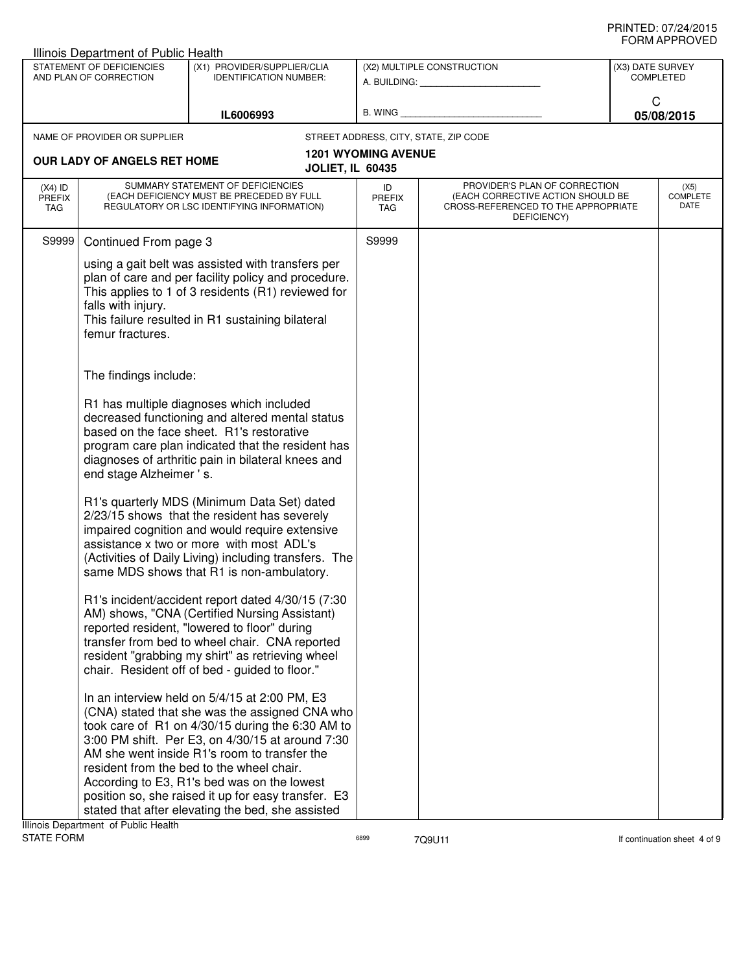|                                   | Illinois Department of Public Health                |                                                                                                                                                                                                                                                                                                                                                                                                                                                                                                                                                                                                                                                                                                                                                                                                                    |                                   |                                                                                                                          |                                      |                          |
|-----------------------------------|-----------------------------------------------------|--------------------------------------------------------------------------------------------------------------------------------------------------------------------------------------------------------------------------------------------------------------------------------------------------------------------------------------------------------------------------------------------------------------------------------------------------------------------------------------------------------------------------------------------------------------------------------------------------------------------------------------------------------------------------------------------------------------------------------------------------------------------------------------------------------------------|-----------------------------------|--------------------------------------------------------------------------------------------------------------------------|--------------------------------------|--------------------------|
|                                   | STATEMENT OF DEFICIENCIES<br>AND PLAN OF CORRECTION | (X1) PROVIDER/SUPPLIER/CLIA<br><b>IDENTIFICATION NUMBER:</b>                                                                                                                                                                                                                                                                                                                                                                                                                                                                                                                                                                                                                                                                                                                                                       |                                   | (X2) MULTIPLE CONSTRUCTION<br>A. BUILDING: A. BUILDING:                                                                  | (X3) DATE SURVEY<br><b>COMPLETED</b> |                          |
|                                   |                                                     | IL6006993                                                                                                                                                                                                                                                                                                                                                                                                                                                                                                                                                                                                                                                                                                                                                                                                          |                                   | B. WING <b>Example 2008</b>                                                                                              | C                                    | 05/08/2015               |
|                                   | NAME OF PROVIDER OR SUPPLIER                        |                                                                                                                                                                                                                                                                                                                                                                                                                                                                                                                                                                                                                                                                                                                                                                                                                    |                                   | STREET ADDRESS, CITY, STATE, ZIP CODE                                                                                    |                                      |                          |
|                                   | OUR LADY OF ANGELS RET HOME                         | <b>JOLIET, IL 60435</b>                                                                                                                                                                                                                                                                                                                                                                                                                                                                                                                                                                                                                                                                                                                                                                                            | <b>1201 WYOMING AVENUE</b>        |                                                                                                                          |                                      |                          |
| $(X4)$ ID<br><b>PREFIX</b><br>TAG |                                                     | SUMMARY STATEMENT OF DEFICIENCIES<br>(EACH DEFICIENCY MUST BE PRECEDED BY FULL<br>REGULATORY OR LSC IDENTIFYING INFORMATION)                                                                                                                                                                                                                                                                                                                                                                                                                                                                                                                                                                                                                                                                                       | ID<br><b>PREFIX</b><br><b>TAG</b> | PROVIDER'S PLAN OF CORRECTION<br>(EACH CORRECTIVE ACTION SHOULD BE<br>CROSS-REFERENCED TO THE APPROPRIATE<br>DEFICIENCY) |                                      | (X5)<br>COMPLETE<br>DATE |
| S9999                             | Continued From page 3                               |                                                                                                                                                                                                                                                                                                                                                                                                                                                                                                                                                                                                                                                                                                                                                                                                                    | S9999                             |                                                                                                                          |                                      |                          |
|                                   | falls with injury.<br>femur fractures.              | using a gait belt was assisted with transfers per<br>plan of care and per facility policy and procedure.<br>This applies to 1 of 3 residents (R1) reviewed for<br>This failure resulted in R1 sustaining bilateral                                                                                                                                                                                                                                                                                                                                                                                                                                                                                                                                                                                                 |                                   |                                                                                                                          |                                      |                          |
|                                   | The findings include:                               |                                                                                                                                                                                                                                                                                                                                                                                                                                                                                                                                                                                                                                                                                                                                                                                                                    |                                   |                                                                                                                          |                                      |                          |
|                                   | end stage Alzheimer 's.                             | R1 has multiple diagnoses which included<br>decreased functioning and altered mental status<br>based on the face sheet. R1's restorative<br>program care plan indicated that the resident has<br>diagnoses of arthritic pain in bilateral knees and<br>R1's quarterly MDS (Minimum Data Set) dated<br>2/23/15 shows that the resident has severely<br>impaired cognition and would require extensive<br>assistance x two or more with most ADL's<br>(Activities of Daily Living) including transfers. The<br>same MDS shows that R1 is non-ambulatory.<br>R1's incident/accident report dated 4/30/15 (7:30<br>AM) shows, "CNA (Certified Nursing Assistant)<br>reported resident, "lowered to floor" during<br>transfer from bed to wheel chair. CNA reported<br>resident "grabbing my shirt" as retrieving wheel |                                   |                                                                                                                          |                                      |                          |
|                                   |                                                     | chair. Resident off of bed - guided to floor."<br>In an interview held on 5/4/15 at 2:00 PM, E3<br>(CNA) stated that she was the assigned CNA who<br>took care of R1 on 4/30/15 during the 6:30 AM to<br>3:00 PM shift. Per E3, on 4/30/15 at around 7:30<br>AM she went inside R1's room to transfer the<br>resident from the bed to the wheel chair.<br>According to E3, R1's bed was on the lowest<br>position so, she raised it up for easy transfer. E3<br>stated that after elevating the bed, she assisted                                                                                                                                                                                                                                                                                                  |                                   |                                                                                                                          |                                      |                          |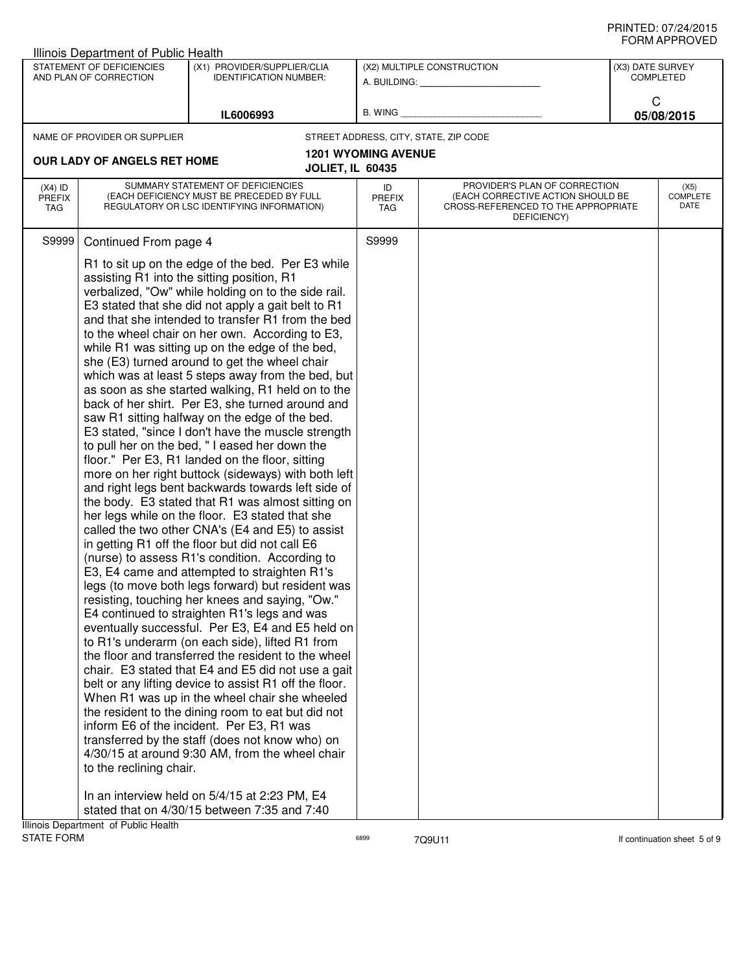|                     | Illinois Department of Public Health |                                                                                                        |                            |                                                                    |                  |                              |
|---------------------|--------------------------------------|--------------------------------------------------------------------------------------------------------|----------------------------|--------------------------------------------------------------------|------------------|------------------------------|
|                     | STATEMENT OF DEFICIENCIES            | (X1) PROVIDER/SUPPLIER/CLIA                                                                            |                            | (X2) MULTIPLE CONSTRUCTION                                         | (X3) DATE SURVEY |                              |
|                     | AND PLAN OF CORRECTION               | <b>IDENTIFICATION NUMBER:</b>                                                                          |                            | A. BUILDING: A. BUILDING:                                          |                  | <b>COMPLETED</b>             |
|                     |                                      |                                                                                                        |                            |                                                                    | C                |                              |
|                     |                                      | IL6006993                                                                                              | B. WING                    |                                                                    |                  | 05/08/2015                   |
|                     | NAME OF PROVIDER OR SUPPLIER         |                                                                                                        |                            | STREET ADDRESS, CITY, STATE, ZIP CODE                              |                  |                              |
|                     | <b>OUR LADY OF ANGELS RET HOME</b>   |                                                                                                        | <b>1201 WYOMING AVENUE</b> |                                                                    |                  |                              |
|                     |                                      | <b>JOLIET, IL 60435</b>                                                                                |                            |                                                                    |                  |                              |
| $(X4)$ ID<br>PREFIX |                                      | SUMMARY STATEMENT OF DEFICIENCIES<br>(EACH DEFICIENCY MUST BE PRECEDED BY FULL                         | ID<br><b>PREFIX</b>        | PROVIDER'S PLAN OF CORRECTION<br>(EACH CORRECTIVE ACTION SHOULD BE |                  | (X5)<br><b>COMPLETE</b>      |
| <b>TAG</b>          |                                      | REGULATORY OR LSC IDENTIFYING INFORMATION)                                                             | TAG                        | CROSS-REFERENCED TO THE APPROPRIATE<br>DEFICIENCY)                 |                  | DATE                         |
|                     |                                      |                                                                                                        |                            |                                                                    |                  |                              |
| S9999               | Continued From page 4                |                                                                                                        | S9999                      |                                                                    |                  |                              |
|                     |                                      | R1 to sit up on the edge of the bed. Per E3 while                                                      |                            |                                                                    |                  |                              |
|                     |                                      | assisting R1 into the sitting position, R1                                                             |                            |                                                                    |                  |                              |
|                     |                                      | verbalized, "Ow" while holding on to the side rail.                                                    |                            |                                                                    |                  |                              |
|                     |                                      | E3 stated that she did not apply a gait belt to R1                                                     |                            |                                                                    |                  |                              |
|                     |                                      | and that she intended to transfer R1 from the bed                                                      |                            |                                                                    |                  |                              |
|                     |                                      | to the wheel chair on her own. According to E3,<br>while R1 was sitting up on the edge of the bed,     |                            |                                                                    |                  |                              |
|                     |                                      | she (E3) turned around to get the wheel chair                                                          |                            |                                                                    |                  |                              |
|                     |                                      | which was at least 5 steps away from the bed, but                                                      |                            |                                                                    |                  |                              |
|                     |                                      | as soon as she started walking, R1 held on to the                                                      |                            |                                                                    |                  |                              |
|                     |                                      | back of her shirt. Per E3, she turned around and                                                       |                            |                                                                    |                  |                              |
|                     |                                      | saw R1 sitting halfway on the edge of the bed.                                                         |                            |                                                                    |                  |                              |
|                     |                                      | E3 stated, "since I don't have the muscle strength<br>to pull her on the bed, "I eased her down the    |                            |                                                                    |                  |                              |
|                     |                                      | floor." Per E3, R1 landed on the floor, sitting                                                        |                            |                                                                    |                  |                              |
|                     |                                      | more on her right buttock (sideways) with both left                                                    |                            |                                                                    |                  |                              |
|                     |                                      | and right legs bent backwards towards left side of                                                     |                            |                                                                    |                  |                              |
|                     |                                      | the body. E3 stated that R1 was almost sitting on                                                      |                            |                                                                    |                  |                              |
|                     |                                      | her legs while on the floor. E3 stated that she                                                        |                            |                                                                    |                  |                              |
|                     |                                      | called the two other CNA's (E4 and E5) to assist<br>in getting R1 off the floor but did not call E6    |                            |                                                                    |                  |                              |
|                     |                                      | (nurse) to assess R1's condition. According to                                                         |                            |                                                                    |                  |                              |
|                     |                                      | E3, E4 came and attempted to straighten R1's                                                           |                            |                                                                    |                  |                              |
|                     |                                      | legs (to move both legs forward) but resident was                                                      |                            |                                                                    |                  |                              |
|                     |                                      | resisting, touching her knees and saying, "Ow."                                                        |                            |                                                                    |                  |                              |
|                     |                                      | E4 continued to straighten R1's legs and was                                                           |                            |                                                                    |                  |                              |
|                     |                                      | eventually successful. Per E3, E4 and E5 held on                                                       |                            |                                                                    |                  |                              |
|                     |                                      | to R1's underarm (on each side), lifted R1 from<br>the floor and transferred the resident to the wheel |                            |                                                                    |                  |                              |
|                     |                                      | chair. E3 stated that E4 and E5 did not use a gait                                                     |                            |                                                                    |                  |                              |
|                     |                                      | belt or any lifting device to assist R1 off the floor.                                                 |                            |                                                                    |                  |                              |
|                     |                                      | When R1 was up in the wheel chair she wheeled                                                          |                            |                                                                    |                  |                              |
|                     |                                      | the resident to the dining room to eat but did not                                                     |                            |                                                                    |                  |                              |
|                     |                                      | inform E6 of the incident. Per E3, R1 was                                                              |                            |                                                                    |                  |                              |
|                     |                                      | transferred by the staff (does not know who) on                                                        |                            |                                                                    |                  |                              |
|                     | to the reclining chair.              | 4/30/15 at around 9:30 AM, from the wheel chair                                                        |                            |                                                                    |                  |                              |
|                     |                                      |                                                                                                        |                            |                                                                    |                  |                              |
|                     |                                      | In an interview held on 5/4/15 at 2:23 PM, E4                                                          |                            |                                                                    |                  |                              |
|                     |                                      | stated that on 4/30/15 between 7:35 and 7:40                                                           |                            |                                                                    |                  |                              |
|                     | Illinois Department of Public Health |                                                                                                        |                            |                                                                    |                  |                              |
| <b>STATE FORM</b>   |                                      |                                                                                                        | 6899                       | 7Q9U11                                                             |                  | If continuation sheet 5 of 9 |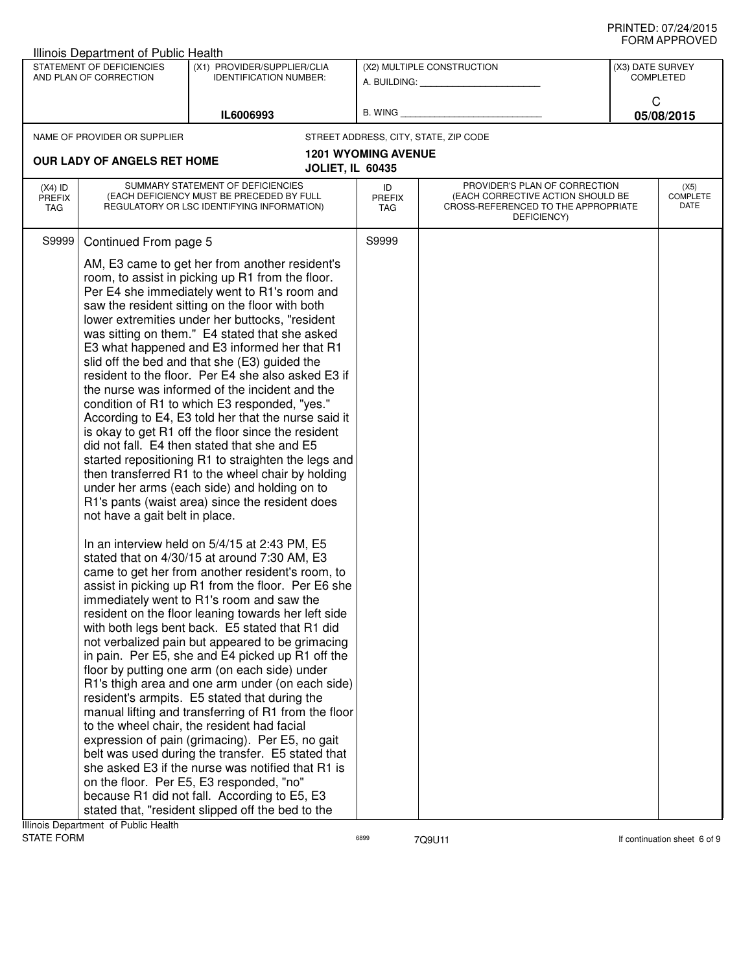| STATEMENT OF DEFICIENCIES<br>AND PLAN OF CORRECTION<br>NAME OF PROVIDER OR SUPPLIER | (X1) PROVIDER/SUPPLIER/CLIA<br><b>IDENTIFICATION NUMBER:</b><br>IL6006993                                                    |                                                                                                                                                                                                                                                                                                                                                                                                                                                                                                                                                                                                                                                                                                                                                                                                                                                                                                                                                                                                                                                                                                                                                                                                                                                                                                                                                                                                                                                                                                                                                                                                                                                                                                                                                                                                                                                                                               | (X2) MULTIPLE CONSTRUCTION                                                                                                                                      | <b>COMPLETED</b>                |  |
|-------------------------------------------------------------------------------------|------------------------------------------------------------------------------------------------------------------------------|-----------------------------------------------------------------------------------------------------------------------------------------------------------------------------------------------------------------------------------------------------------------------------------------------------------------------------------------------------------------------------------------------------------------------------------------------------------------------------------------------------------------------------------------------------------------------------------------------------------------------------------------------------------------------------------------------------------------------------------------------------------------------------------------------------------------------------------------------------------------------------------------------------------------------------------------------------------------------------------------------------------------------------------------------------------------------------------------------------------------------------------------------------------------------------------------------------------------------------------------------------------------------------------------------------------------------------------------------------------------------------------------------------------------------------------------------------------------------------------------------------------------------------------------------------------------------------------------------------------------------------------------------------------------------------------------------------------------------------------------------------------------------------------------------------------------------------------------------------------------------------------------------|-----------------------------------------------------------------------------------------------------------------------------------------------------------------|---------------------------------|--|
|                                                                                     |                                                                                                                              |                                                                                                                                                                                                                                                                                                                                                                                                                                                                                                                                                                                                                                                                                                                                                                                                                                                                                                                                                                                                                                                                                                                                                                                                                                                                                                                                                                                                                                                                                                                                                                                                                                                                                                                                                                                                                                                                                               |                                                                                                                                                                 | (X3) DATE SURVEY                |  |
|                                                                                     |                                                                                                                              |                                                                                                                                                                                                                                                                                                                                                                                                                                                                                                                                                                                                                                                                                                                                                                                                                                                                                                                                                                                                                                                                                                                                                                                                                                                                                                                                                                                                                                                                                                                                                                                                                                                                                                                                                                                                                                                                                               | B. WING <b>Example 2008</b>                                                                                                                                     | C<br>05/08/2015                 |  |
|                                                                                     |                                                                                                                              | STREET ADDRESS, CITY, STATE, ZIP CODE                                                                                                                                                                                                                                                                                                                                                                                                                                                                                                                                                                                                                                                                                                                                                                                                                                                                                                                                                                                                                                                                                                                                                                                                                                                                                                                                                                                                                                                                                                                                                                                                                                                                                                                                                                                                                                                         |                                                                                                                                                                 |                                 |  |
|                                                                                     |                                                                                                                              | <b>1201 WYOMING AVENUE</b>                                                                                                                                                                                                                                                                                                                                                                                                                                                                                                                                                                                                                                                                                                                                                                                                                                                                                                                                                                                                                                                                                                                                                                                                                                                                                                                                                                                                                                                                                                                                                                                                                                                                                                                                                                                                                                                                    |                                                                                                                                                                 |                                 |  |
| OUR LADY OF ANGELS RET HOME                                                         | <b>JOLIET, IL 60435</b>                                                                                                      |                                                                                                                                                                                                                                                                                                                                                                                                                                                                                                                                                                                                                                                                                                                                                                                                                                                                                                                                                                                                                                                                                                                                                                                                                                                                                                                                                                                                                                                                                                                                                                                                                                                                                                                                                                                                                                                                                               |                                                                                                                                                                 |                                 |  |
|                                                                                     | SUMMARY STATEMENT OF DEFICIENCIES<br>(EACH DEFICIENCY MUST BE PRECEDED BY FULL<br>REGULATORY OR LSC IDENTIFYING INFORMATION) | ID<br><b>PREFIX</b><br>TAG                                                                                                                                                                                                                                                                                                                                                                                                                                                                                                                                                                                                                                                                                                                                                                                                                                                                                                                                                                                                                                                                                                                                                                                                                                                                                                                                                                                                                                                                                                                                                                                                                                                                                                                                                                                                                                                                    | PROVIDER'S PLAN OF CORRECTION<br>(EACH CORRECTIVE ACTION SHOULD BE<br>CROSS-REFERENCED TO THE APPROPRIATE<br>DEFICIENCY)                                        | (X5)<br><b>COMPLETE</b><br>DATE |  |
|                                                                                     |                                                                                                                              | S9999                                                                                                                                                                                                                                                                                                                                                                                                                                                                                                                                                                                                                                                                                                                                                                                                                                                                                                                                                                                                                                                                                                                                                                                                                                                                                                                                                                                                                                                                                                                                                                                                                                                                                                                                                                                                                                                                                         |                                                                                                                                                                 |                                 |  |
|                                                                                     |                                                                                                                              |                                                                                                                                                                                                                                                                                                                                                                                                                                                                                                                                                                                                                                                                                                                                                                                                                                                                                                                                                                                                                                                                                                                                                                                                                                                                                                                                                                                                                                                                                                                                                                                                                                                                                                                                                                                                                                                                                               |                                                                                                                                                                 |                                 |  |
|                                                                                     |                                                                                                                              |                                                                                                                                                                                                                                                                                                                                                                                                                                                                                                                                                                                                                                                                                                                                                                                                                                                                                                                                                                                                                                                                                                                                                                                                                                                                                                                                                                                                                                                                                                                                                                                                                                                                                                                                                                                                                                                                                               |                                                                                                                                                                 |                                 |  |
|                                                                                     | Illinois Department of Public Health                                                                                         | Continued From page 5<br>AM, E3 came to get her from another resident's<br>room, to assist in picking up R1 from the floor.<br>Per E4 she immediately went to R1's room and<br>saw the resident sitting on the floor with both<br>lower extremities under her buttocks, "resident<br>was sitting on them." E4 stated that she asked<br>E3 what happened and E3 informed her that R1<br>slid off the bed and that she (E3) guided the<br>resident to the floor. Per E4 she also asked E3 if<br>the nurse was informed of the incident and the<br>condition of R1 to which E3 responded, "yes."<br>According to E4, E3 told her that the nurse said it<br>is okay to get R1 off the floor since the resident<br>did not fall. E4 then stated that she and E5<br>then transferred R1 to the wheel chair by holding<br>under her arms (each side) and holding on to<br>R1's pants (waist area) since the resident does<br>not have a gait belt in place.<br>In an interview held on 5/4/15 at 2:43 PM, E5<br>stated that on 4/30/15 at around 7:30 AM, E3<br>came to get her from another resident's room, to<br>assist in picking up R1 from the floor. Per E6 she<br>immediately went to R1's room and saw the<br>resident on the floor leaning towards her left side<br>with both legs bent back. E5 stated that R1 did<br>not verbalized pain but appeared to be grimacing<br>in pain. Per E5, she and E4 picked up R1 off the<br>floor by putting one arm (on each side) under<br>resident's armpits. E5 stated that during the<br>to the wheel chair, the resident had facial<br>expression of pain (grimacing). Per E5, no gait<br>belt was used during the transfer. E5 stated that<br>she asked E3 if the nurse was notified that R1 is<br>on the floor. Per E5, E3 responded, "no"<br>because R1 did not fall. According to E5, E3<br>stated that, "resident slipped off the bed to the | started repositioning R1 to straighten the legs and<br>R1's thigh area and one arm under (on each side)<br>manual lifting and transferring of R1 from the floor |                                 |  |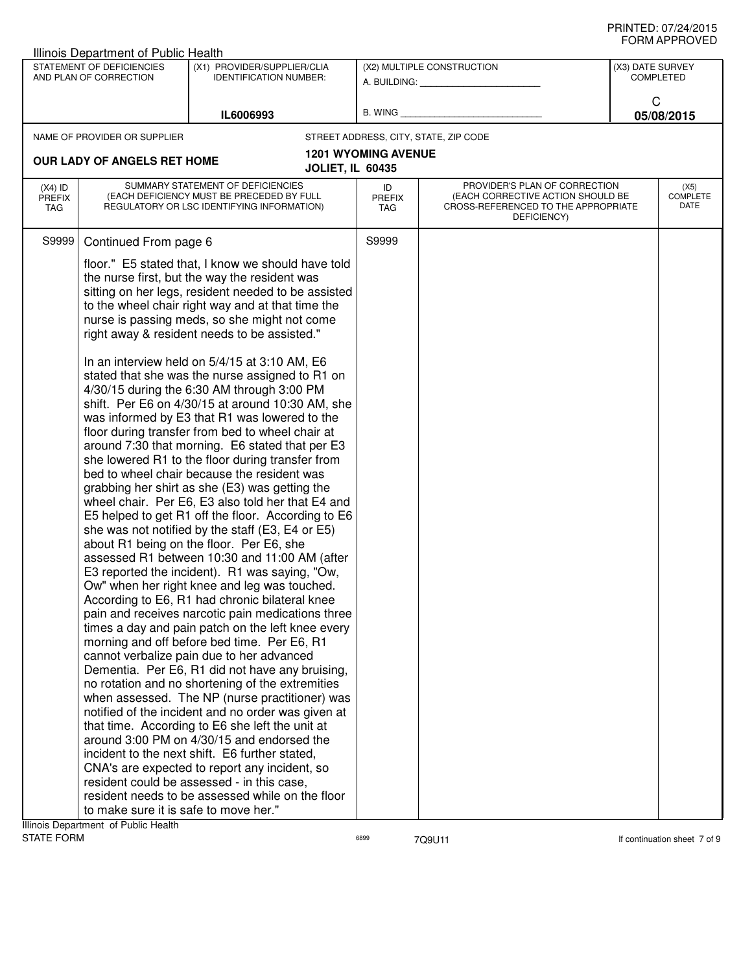|                                   | Illinois Department of Public Health                |                                                                                                                                                                                                                                                                                                                                                                                                                                                                                                                                                                                                                                                                                                                                                                                                                                                                                                                                                                                                                                                                                                                                                                                                                                                                                                                                                                                                                                                                                                                                                                                                                                                                                                                                                                                                                                                                                                                                                                               |                            |                                                                                                                          |                                      | ◡੶┉灬 ─                          |
|-----------------------------------|-----------------------------------------------------|-------------------------------------------------------------------------------------------------------------------------------------------------------------------------------------------------------------------------------------------------------------------------------------------------------------------------------------------------------------------------------------------------------------------------------------------------------------------------------------------------------------------------------------------------------------------------------------------------------------------------------------------------------------------------------------------------------------------------------------------------------------------------------------------------------------------------------------------------------------------------------------------------------------------------------------------------------------------------------------------------------------------------------------------------------------------------------------------------------------------------------------------------------------------------------------------------------------------------------------------------------------------------------------------------------------------------------------------------------------------------------------------------------------------------------------------------------------------------------------------------------------------------------------------------------------------------------------------------------------------------------------------------------------------------------------------------------------------------------------------------------------------------------------------------------------------------------------------------------------------------------------------------------------------------------------------------------------------------------|----------------------------|--------------------------------------------------------------------------------------------------------------------------|--------------------------------------|---------------------------------|
|                                   | STATEMENT OF DEFICIENCIES<br>AND PLAN OF CORRECTION | (X1) PROVIDER/SUPPLIER/CLIA<br><b>IDENTIFICATION NUMBER:</b>                                                                                                                                                                                                                                                                                                                                                                                                                                                                                                                                                                                                                                                                                                                                                                                                                                                                                                                                                                                                                                                                                                                                                                                                                                                                                                                                                                                                                                                                                                                                                                                                                                                                                                                                                                                                                                                                                                                  |                            | (X2) MULTIPLE CONSTRUCTION<br>A. BUILDING: A. BUILDING:                                                                  | (X3) DATE SURVEY<br><b>COMPLETED</b> |                                 |
|                                   |                                                     | IL6006993                                                                                                                                                                                                                                                                                                                                                                                                                                                                                                                                                                                                                                                                                                                                                                                                                                                                                                                                                                                                                                                                                                                                                                                                                                                                                                                                                                                                                                                                                                                                                                                                                                                                                                                                                                                                                                                                                                                                                                     |                            | B. WING <b>Example 20</b>                                                                                                | C                                    | 05/08/2015                      |
|                                   | NAME OF PROVIDER OR SUPPLIER                        |                                                                                                                                                                                                                                                                                                                                                                                                                                                                                                                                                                                                                                                                                                                                                                                                                                                                                                                                                                                                                                                                                                                                                                                                                                                                                                                                                                                                                                                                                                                                                                                                                                                                                                                                                                                                                                                                                                                                                                               |                            | STREET ADDRESS, CITY, STATE, ZIP CODE                                                                                    |                                      |                                 |
|                                   |                                                     |                                                                                                                                                                                                                                                                                                                                                                                                                                                                                                                                                                                                                                                                                                                                                                                                                                                                                                                                                                                                                                                                                                                                                                                                                                                                                                                                                                                                                                                                                                                                                                                                                                                                                                                                                                                                                                                                                                                                                                               | <b>1201 WYOMING AVENUE</b> |                                                                                                                          |                                      |                                 |
|                                   | OUR LADY OF ANGELS RET HOME                         | <b>JOLIET, IL 60435</b>                                                                                                                                                                                                                                                                                                                                                                                                                                                                                                                                                                                                                                                                                                                                                                                                                                                                                                                                                                                                                                                                                                                                                                                                                                                                                                                                                                                                                                                                                                                                                                                                                                                                                                                                                                                                                                                                                                                                                       |                            |                                                                                                                          |                                      |                                 |
| $(X4)$ ID<br><b>PREFIX</b><br>TAG |                                                     | SUMMARY STATEMENT OF DEFICIENCIES<br>(EACH DEFICIENCY MUST BE PRECEDED BY FULL<br>REGULATORY OR LSC IDENTIFYING INFORMATION)                                                                                                                                                                                                                                                                                                                                                                                                                                                                                                                                                                                                                                                                                                                                                                                                                                                                                                                                                                                                                                                                                                                                                                                                                                                                                                                                                                                                                                                                                                                                                                                                                                                                                                                                                                                                                                                  | ID<br><b>PREFIX</b><br>TAG | PROVIDER'S PLAN OF CORRECTION<br>(EACH CORRECTIVE ACTION SHOULD BE<br>CROSS-REFERENCED TO THE APPROPRIATE<br>DEFICIENCY) |                                      | (X5)<br><b>COMPLETE</b><br>DATE |
| S9999                             | Continued From page 6                               |                                                                                                                                                                                                                                                                                                                                                                                                                                                                                                                                                                                                                                                                                                                                                                                                                                                                                                                                                                                                                                                                                                                                                                                                                                                                                                                                                                                                                                                                                                                                                                                                                                                                                                                                                                                                                                                                                                                                                                               | S9999                      |                                                                                                                          |                                      |                                 |
|                                   | to make sure it is safe to move her."               | floor." E5 stated that, I know we should have told<br>the nurse first, but the way the resident was<br>sitting on her legs, resident needed to be assisted<br>to the wheel chair right way and at that time the<br>nurse is passing meds, so she might not come<br>right away & resident needs to be assisted."<br>In an interview held on 5/4/15 at 3:10 AM, E6<br>stated that she was the nurse assigned to R1 on<br>4/30/15 during the 6:30 AM through 3:00 PM<br>shift. Per E6 on 4/30/15 at around 10:30 AM, she<br>was informed by E3 that R1 was lowered to the<br>floor during transfer from bed to wheel chair at<br>around 7:30 that morning. E6 stated that per E3<br>she lowered R1 to the floor during transfer from<br>bed to wheel chair because the resident was<br>grabbing her shirt as she (E3) was getting the<br>wheel chair. Per E6, E3 also told her that E4 and<br>E5 helped to get R1 off the floor. According to E6<br>she was not notified by the staff (E3, E4 or E5)<br>about R1 being on the floor. Per E6, she<br>assessed R1 between 10:30 and 11:00 AM (after<br>E3 reported the incident). R1 was saying, "Ow,<br>Ow" when her right knee and leg was touched.<br>According to E6, R1 had chronic bilateral knee<br>pain and receives narcotic pain medications three<br>times a day and pain patch on the left knee every<br>morning and off before bed time. Per E6, R1<br>cannot verbalize pain due to her advanced<br>Dementia. Per E6, R1 did not have any bruising,<br>no rotation and no shortening of the extremities<br>when assessed. The NP (nurse practitioner) was<br>notified of the incident and no order was given at<br>that time. According to E6 she left the unit at<br>around 3:00 PM on 4/30/15 and endorsed the<br>incident to the next shift. E6 further stated,<br>CNA's are expected to report any incident, so<br>resident could be assessed - in this case,<br>resident needs to be assessed while on the floor |                            |                                                                                                                          |                                      |                                 |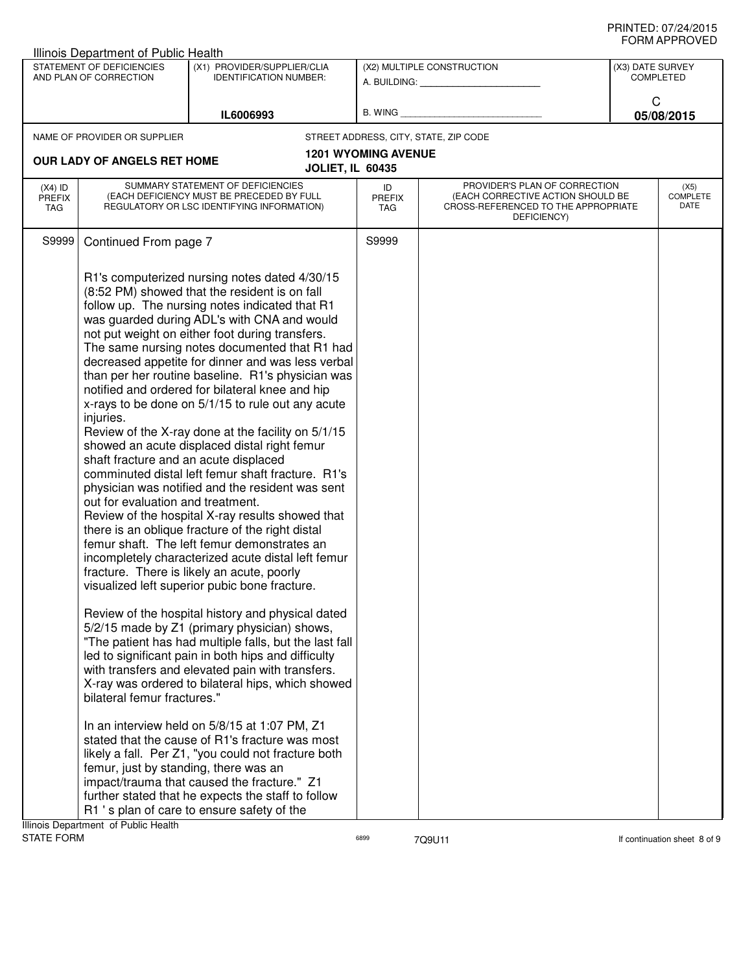|                                   | Illinois Department of Public Health                                                                                   |                                                                                                                                                                                                                                                                                                                                                                                                                                                                                                                                                                                                                                                                                                                                                                                                                                                                                                                                                                                                                                                                                                                                                                                                                                                                                                                                                                                 |                                   |                                                                                                                          |                                      | <b>JI UVI AI I I IV V L D</b>   |
|-----------------------------------|------------------------------------------------------------------------------------------------------------------------|---------------------------------------------------------------------------------------------------------------------------------------------------------------------------------------------------------------------------------------------------------------------------------------------------------------------------------------------------------------------------------------------------------------------------------------------------------------------------------------------------------------------------------------------------------------------------------------------------------------------------------------------------------------------------------------------------------------------------------------------------------------------------------------------------------------------------------------------------------------------------------------------------------------------------------------------------------------------------------------------------------------------------------------------------------------------------------------------------------------------------------------------------------------------------------------------------------------------------------------------------------------------------------------------------------------------------------------------------------------------------------|-----------------------------------|--------------------------------------------------------------------------------------------------------------------------|--------------------------------------|---------------------------------|
|                                   | STATEMENT OF DEFICIENCIES<br>AND PLAN OF CORRECTION                                                                    | (X1) PROVIDER/SUPPLIER/CLIA<br><b>IDENTIFICATION NUMBER:</b>                                                                                                                                                                                                                                                                                                                                                                                                                                                                                                                                                                                                                                                                                                                                                                                                                                                                                                                                                                                                                                                                                                                                                                                                                                                                                                                    |                                   | (X2) MULTIPLE CONSTRUCTION<br>A. BUILDING: A. BUILDING:                                                                  | (X3) DATE SURVEY<br><b>COMPLETED</b> |                                 |
|                                   |                                                                                                                        | IL6006993                                                                                                                                                                                                                                                                                                                                                                                                                                                                                                                                                                                                                                                                                                                                                                                                                                                                                                                                                                                                                                                                                                                                                                                                                                                                                                                                                                       |                                   | B. WING <b>Example 20</b>                                                                                                | C                                    | 05/08/2015                      |
|                                   | NAME OF PROVIDER OR SUPPLIER                                                                                           |                                                                                                                                                                                                                                                                                                                                                                                                                                                                                                                                                                                                                                                                                                                                                                                                                                                                                                                                                                                                                                                                                                                                                                                                                                                                                                                                                                                 |                                   | STREET ADDRESS, CITY, STATE, ZIP CODE                                                                                    |                                      |                                 |
|                                   | OUR LADY OF ANGELS RET HOME                                                                                            | <b>JOLIET, IL 60435</b>                                                                                                                                                                                                                                                                                                                                                                                                                                                                                                                                                                                                                                                                                                                                                                                                                                                                                                                                                                                                                                                                                                                                                                                                                                                                                                                                                         | <b>1201 WYOMING AVENUE</b>        |                                                                                                                          |                                      |                                 |
| $(X4)$ ID<br><b>PREFIX</b><br>TAG |                                                                                                                        | SUMMARY STATEMENT OF DEFICIENCIES<br>(EACH DEFICIENCY MUST BE PRECEDED BY FULL<br>REGULATORY OR LSC IDENTIFYING INFORMATION)                                                                                                                                                                                                                                                                                                                                                                                                                                                                                                                                                                                                                                                                                                                                                                                                                                                                                                                                                                                                                                                                                                                                                                                                                                                    | ID<br><b>PREFIX</b><br><b>TAG</b> | PROVIDER'S PLAN OF CORRECTION<br>(EACH CORRECTIVE ACTION SHOULD BE<br>CROSS-REFERENCED TO THE APPROPRIATE<br>DEFICIENCY) |                                      | (X5)<br><b>COMPLETE</b><br>DATE |
| S9999                             | Continued From page 7                                                                                                  |                                                                                                                                                                                                                                                                                                                                                                                                                                                                                                                                                                                                                                                                                                                                                                                                                                                                                                                                                                                                                                                                                                                                                                                                                                                                                                                                                                                 | S9999                             |                                                                                                                          |                                      |                                 |
|                                   | injuries.<br>shaft fracture and an acute displaced<br>out for evaluation and treatment.<br>bilateral femur fractures." | R1's computerized nursing notes dated 4/30/15<br>(8:52 PM) showed that the resident is on fall<br>follow up. The nursing notes indicated that R1<br>was guarded during ADL's with CNA and would<br>not put weight on either foot during transfers.<br>The same nursing notes documented that R1 had<br>decreased appetite for dinner and was less verbal<br>than per her routine baseline. R1's physician was<br>notified and ordered for bilateral knee and hip<br>x-rays to be done on 5/1/15 to rule out any acute<br>Review of the X-ray done at the facility on 5/1/15<br>showed an acute displaced distal right femur<br>comminuted distal left femur shaft fracture. R1's<br>physician was notified and the resident was sent<br>Review of the hospital X-ray results showed that<br>there is an oblique fracture of the right distal<br>femur shaft. The left femur demonstrates an<br>incompletely characterized acute distal left femur<br>fracture. There is likely an acute, poorly<br>visualized left superior pubic bone fracture.<br>Review of the hospital history and physical dated<br>5/2/15 made by Z1 (primary physician) shows,<br>"The patient has had multiple falls, but the last fall<br>led to significant pain in both hips and difficulty<br>with transfers and elevated pain with transfers.<br>X-ray was ordered to bilateral hips, which showed |                                   |                                                                                                                          |                                      |                                 |
|                                   | femur, just by standing, there was an<br>Illinois Department, of Public Health                                         | In an interview held on 5/8/15 at 1:07 PM, Z1<br>stated that the cause of R1's fracture was most<br>likely a fall. Per Z1, "you could not fracture both<br>impact/trauma that caused the fracture." Z1<br>further stated that he expects the staff to follow<br>R1 's plan of care to ensure safety of the                                                                                                                                                                                                                                                                                                                                                                                                                                                                                                                                                                                                                                                                                                                                                                                                                                                                                                                                                                                                                                                                      |                                   |                                                                                                                          |                                      |                                 |